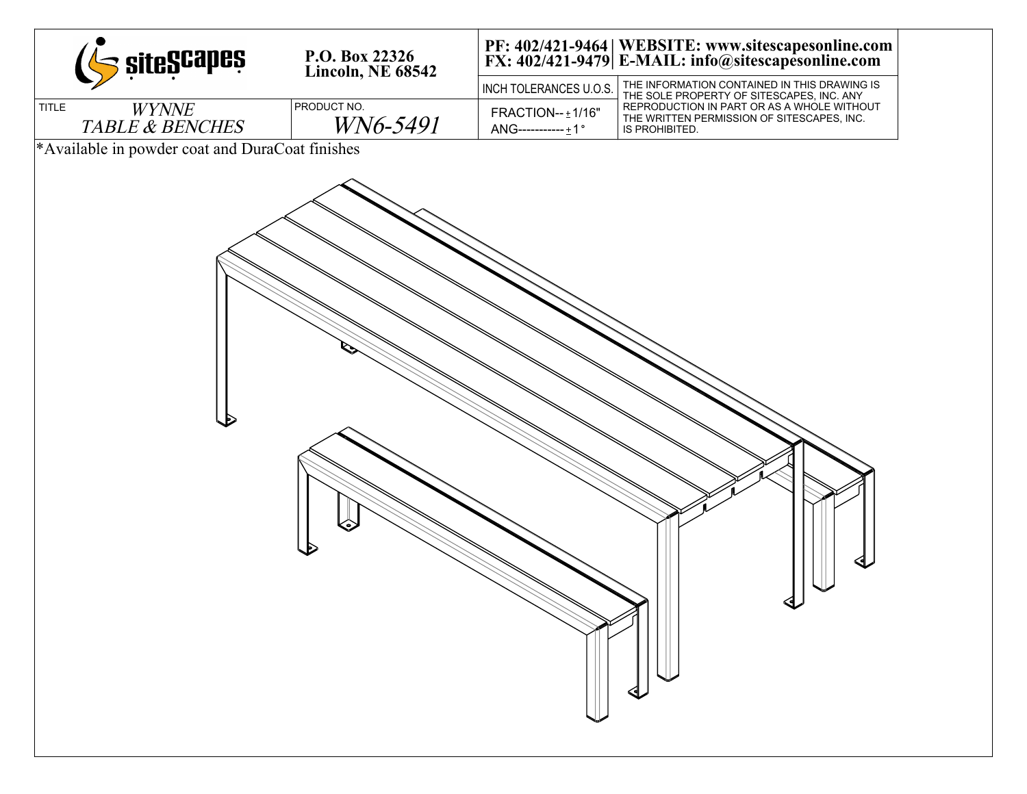